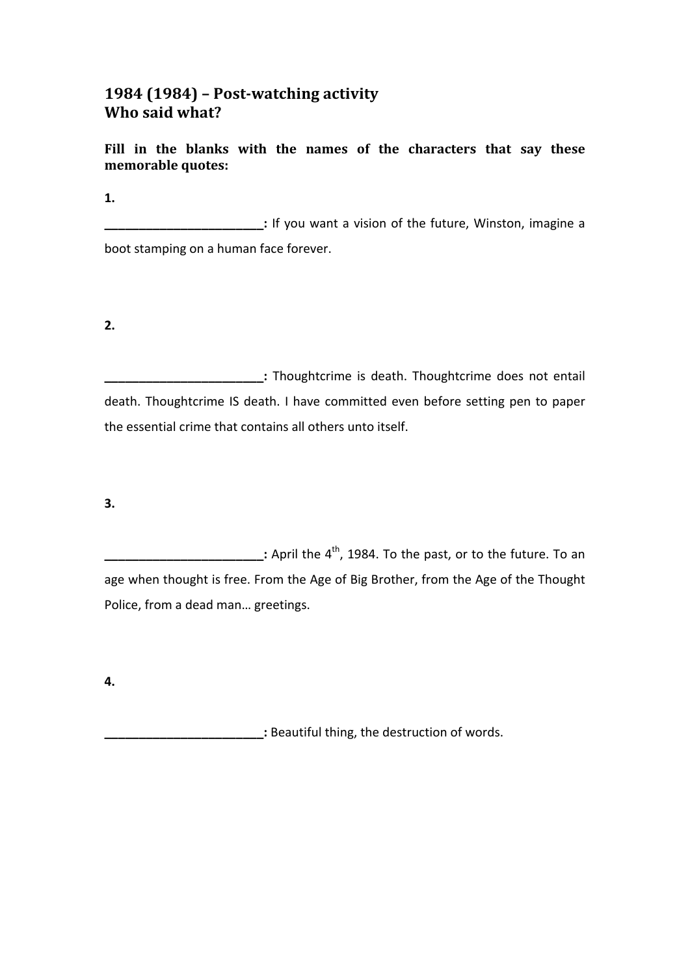## **1984 (1984) - Post-watching activity Who said what?**

Fill in the blanks with the names of the characters that say these memorable quotes:

**1.** 

**\_\_\_\_\_\_\_\_\_\_\_:** If you want a vision of the future, Winston, imagine a boot stamping on a human face forever.

**2.**

**:** Thoughtcrime is death. Thoughtcrime does not entail death. Thoughtcrime IS death. I have committed even before setting pen to paper the essential crime that contains all others unto itself.

**3.**

**EXECUTE:** April the 4<sup>th</sup>, 1984. To the past, or to the future. To an age when thought is free. From the Age of Big Brother, from the Age of the Thought Police, from a dead man... greetings.

**4.**

**\_\_\_:** Beautiful thing, the destruction of words.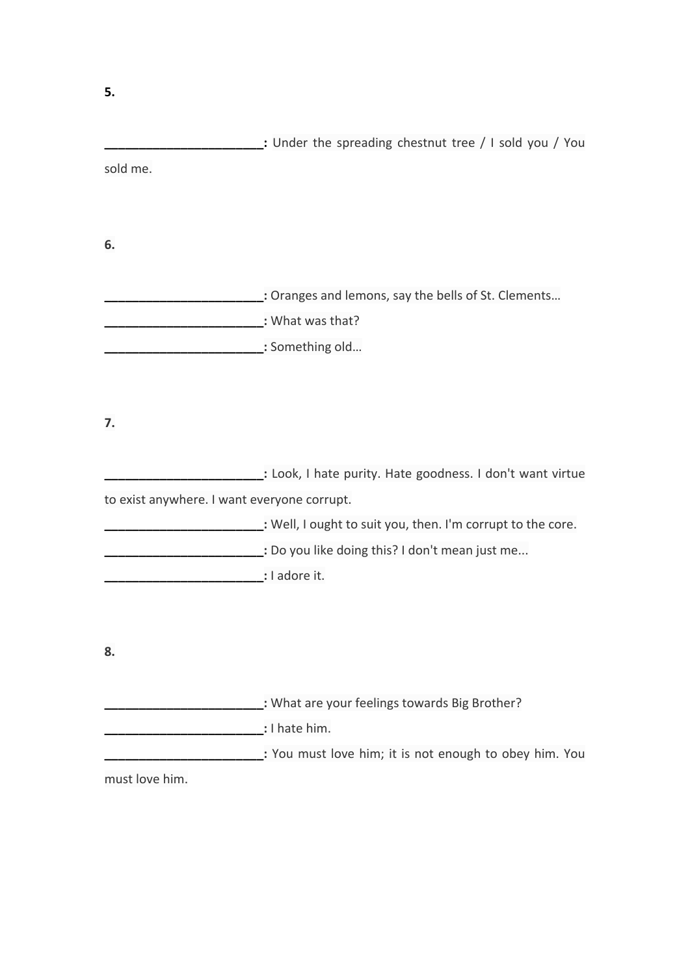| sold me.                                    |                                                             |
|---------------------------------------------|-------------------------------------------------------------|
|                                             |                                                             |
| 6.                                          |                                                             |
|                                             |                                                             |
|                                             | : Oranges and lemons, say the bells of St. Clements         |
|                                             | : What was that?                                            |
|                                             | : Something old                                             |
|                                             |                                                             |
|                                             |                                                             |
| 7.                                          |                                                             |
|                                             | : Look, I hate purity. Hate goodness. I don't want virtue   |
| to exist anywhere. I want everyone corrupt. |                                                             |
|                                             | : Well, I ought to suit you, then. I'm corrupt to the core. |
|                                             | Do you like doing this? I don't mean just me                |
|                                             | : I adore it.                                               |
|                                             |                                                             |
|                                             |                                                             |
| 8.                                          |                                                             |
|                                             | : What are your feelings towards Big Brother?               |
|                                             |                                                             |
|                                             |                                                             |
| must love him.                              |                                                             |
|                                             |                                                             |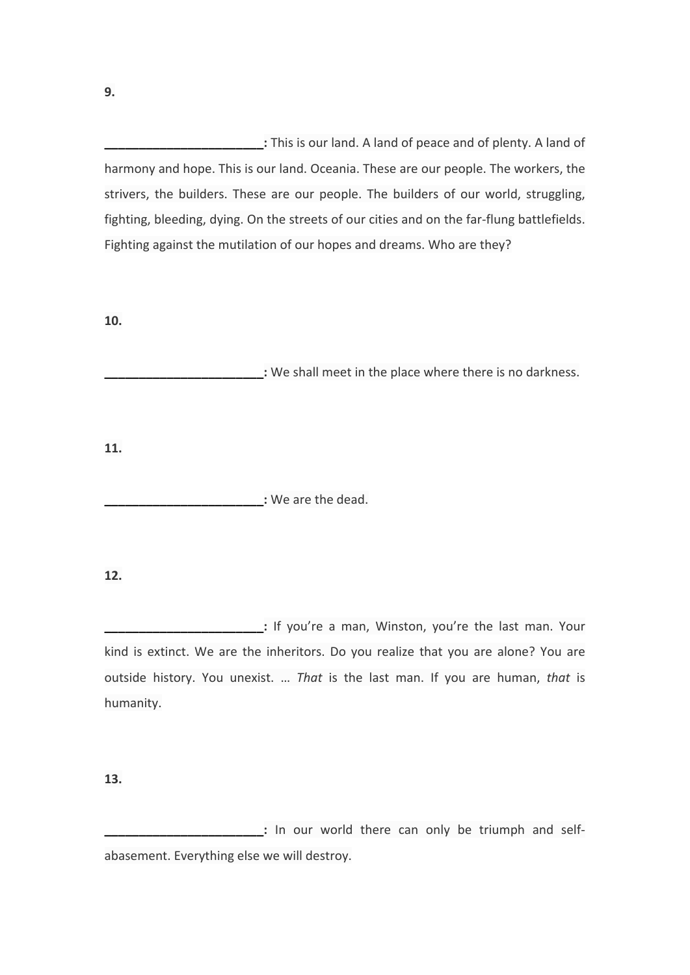**\_\_\_\_\_\_\_\_\_\_\_:** This is our land. A land of peace and of plenty. A land of harmony and hope. This is our land. Oceania. These are our people. The workers, the strivers, the builders. These are our people. The builders of our world, struggling, fighting, bleeding, dying. On the streets of our cities and on the far-flung battlefields. Fighting against the mutilation of our hopes and dreams. Who are they?

**10.**

**\_\_\_:** We shall meet in the place where there is no darkness.

**11.**

**\_\_\_\_\_\_\_\_\_\_\_\_\_\_\_\_\_\_\_\_\_\_\_:** We are the dead.

## **12.**

**:** If you're a man, Winston, you're the last man. Your kind is extinct. We are the inheritors. Do you realize that you are alone? You are outside history. You unexist. ... That is the last man. If you are human, that is humanity.

**13.**

**:** In our world there can only be triumph and selfabasement. Everything else we will destroy.